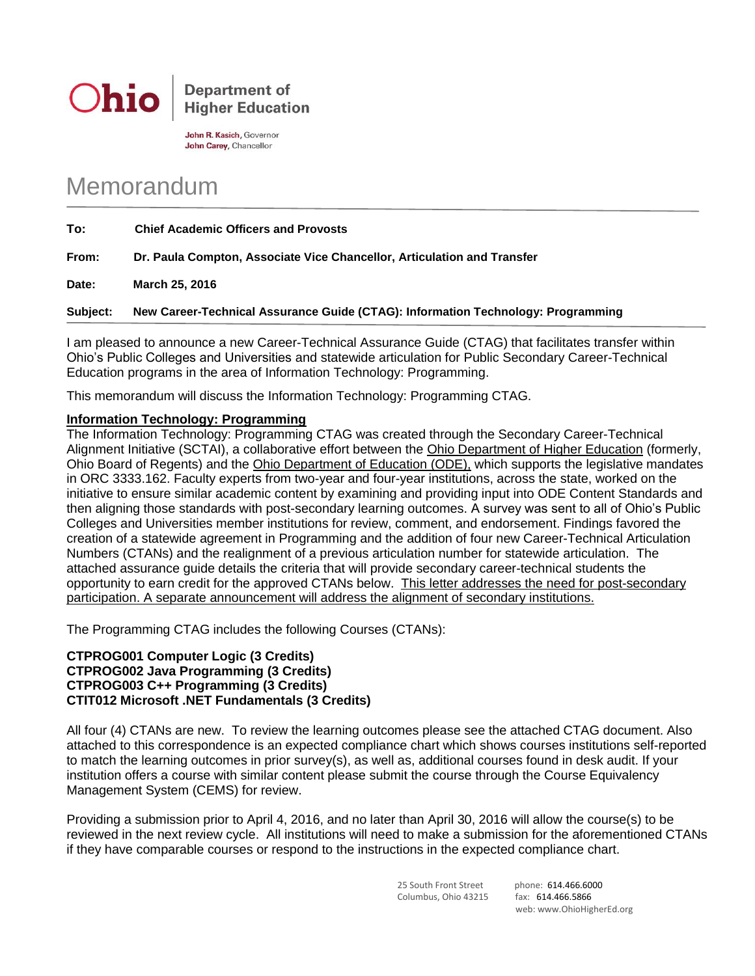

John R. Kasich, Governor John Carey, Chancellor

## Memorandum

| To:      | <b>Chief Academic Officers and Provosts</b>                                      |
|----------|----------------------------------------------------------------------------------|
| From:    | Dr. Paula Compton, Associate Vice Chancellor, Articulation and Transfer          |
| Date:    | March 25, 2016                                                                   |
| Subject: | New Career-Technical Assurance Guide (CTAG): Information Technology: Programming |

I am pleased to announce a new Career-Technical Assurance Guide (CTAG) that facilitates transfer within Ohio's Public Colleges and Universities and statewide articulation for Public Secondary Career-Technical Education programs in the area of Information Technology: Programming.

This memorandum will discuss the Information Technology: Programming CTAG.

## **Information Technology: Programming**

The Information Technology: Programming CTAG was created through the Secondary Career-Technical Alignment Initiative (SCTAI), a collaborative effort between the Ohio Department of Higher Education (formerly, Ohio Board of Regents) and the Ohio Department of Education (ODE), which supports the legislative mandates in ORC 3333.162. Faculty experts from two-year and four-year institutions, across the state, worked on the initiative to ensure similar academic content by examining and providing input into ODE Content Standards and then aligning those standards with post-secondary learning outcomes. A survey was sent to all of Ohio's Public Colleges and Universities member institutions for review, comment, and endorsement. Findings favored the creation of a statewide agreement in Programming and the addition of four new Career-Technical Articulation Numbers (CTANs) and the realignment of a previous articulation number for statewide articulation. The attached assurance guide details the criteria that will provide secondary career-technical students the opportunity to earn credit for the approved CTANs below. This letter addresses the need for post-secondary participation. A separate announcement will address the alignment of secondary institutions.

The Programming CTAG includes the following Courses (CTANs):

## **CTPROG001 Computer Logic (3 Credits) CTPROG002 Java Programming (3 Credits) CTPROG003 C++ Programming (3 Credits) CTIT012 Microsoft .NET Fundamentals (3 Credits)**

All four (4) CTANs are new. To review the learning outcomes please see the attached CTAG document. Also attached to this correspondence is an expected compliance chart which shows courses institutions self-reported to match the learning outcomes in prior survey(s), as well as, additional courses found in desk audit. If your institution offers a course with similar content please submit the course through the Course Equivalency Management System (CEMS) for review.

Providing a submission prior to April 4, 2016, and no later than April 30, 2016 will allow the course(s) to be reviewed in the next review cycle. All institutions will need to make a submission for the aforementioned CTANs if they have comparable courses or respond to the instructions in the expected compliance chart.

> 25 South Front Street phone: 614.466.6000 Columbus, Ohio 43215 fax: 614.466.5866

web: www.OhioHigherEd.org